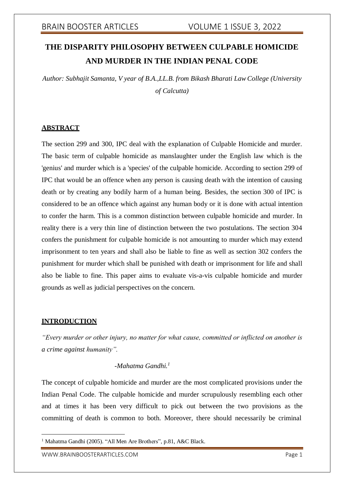# **THE DISPARITY PHILOSOPHY BETWEEN CULPABLE HOMICIDE AND MURDER IN THE INDIAN PENAL CODE**

*Author: Subhajit Samanta, V year of B.A.,LL.B. from Bikash Bharati Law College (University of Calcutta)*

## **ABSTRACT**

The section 299 and 300, IPC deal with the explanation of Culpable Homicide and murder. The basic term of culpable homicide as manslaughter under the English law which is the 'genius' and murder which is a 'species' of the culpable homicide. According to section 299 of IPC that would be an offence when any person is causing death with the intention of causing death or by creating any bodily harm of a human being. Besides, the section 300 of IPC is considered to be an offence which against any human body or it is done with actual intention to confer the harm. This is a common distinction between culpable homicide and murder. In reality there is a very thin line of distinction between the two postulations. The section 304 confers the punishment for culpable homicide is not amounting to murder which may extend imprisonment to ten years and shall also be liable to fine as well as section 302 confers the punishment for murder which shall be punished with death or imprisonment for life and shall also be liable to fine. This paper aims to evaluate vis-a-vis culpable homicide and murder grounds as well as judicial perspectives on the concern.

## **INTRODUCTION**

*"Every murder or other injury, no matter for what cause, committed or inflicted on another is a crime against humanity".*

## *-Mahatma Gandhi.<sup>1</sup>*

The concept of culpable homicide and murder are the most complicated provisions under the Indian Penal Code. The culpable homicide and murder scrupulously resembling each other and at times it has been very difficult to pick out between the two provisions as the committing of death is common to both. Moreover, there should necessarily be criminal

<sup>&</sup>lt;sup>1</sup> Mahatma Gandhi (2005). "All Men Are Brothers", p.81, A&C Black.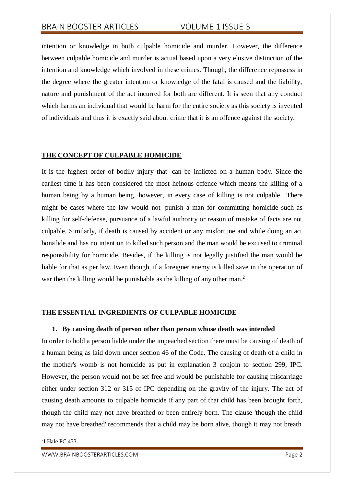intention or knowledge in both culpable homicide and murder. However, the difference between culpable homicide and murder is actual based upon a very elusive distinction of the intention and knowledge which involved in these crimes. Though, the difference repossess in the degree where the greater intention or knowledge of the fatal is caused and the liability, nature and punishment of the act incurred for both are different. It is seen that any conduct which harms an individual that would be harm for the entire society as this society is invented of individuals and thus it is exactly said about crime that it is an offence against the society.

### **THE CONCEPT OF CULPABLE HOMICIDE**

It is the highest order of bodily injury that can be inflicted on a human body. Since the earliest time it has been considered the most heinous offence which means the killing of a human being by a human being, however, in every case of killing is not culpable. There might be cases where the law would not punish a man for committing homicide such as killing for self-defense, pursuance of a lawful authority or reason of mistake of facts are not culpable. Similarly, if death is caused by accident or any misfortune and while doing an act bonafide and has no intention to killed such person and the man would be excused to criminal responsibility for homicide. Besides, if the killing is not legally justified the man would be liable for that as per law. Even though, if a foreigner enemy is killed save in the operation of war then the killing would be punishable as the killing of any other man.<sup>2</sup>

## **THE ESSENTIAL INGREDIENTS OF CULPABLE HOMICIDE**

### **1. By causing death of person other than person whose death was intended**

In order to hold a person liable under the impeached section there must be causing of death of a human being as laid down under section 46 of the Code. The causing of death of a child in the mother's womb is not homicide as put in explanation 3 conjoin to section 299, IPC. However, the person would not be set free and would be punishable for causing miscarriage either under section 312 or 315 of IPC depending on the gravity of the injury. The act of causing death amounts to culpable homicide if any part of that child has been brought forth, though the child may not have breathed or been entirely born. The clause 'though the child may not have breathed' recommends that a child may be born alive, though it may not breath

[WWW.BRAINBOOSTERARTICLES.COM](http://www.brainboosterarticles.com/) **Page 2** 

<sup>2</sup> I Hale PC 433.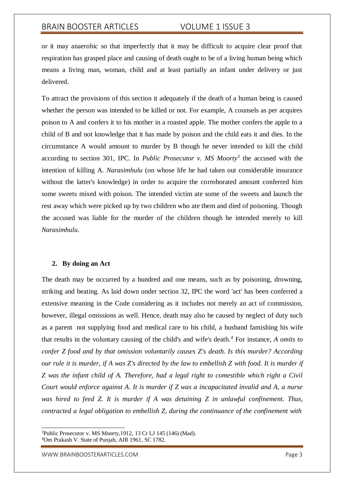or it may anaerobic so that imperfectly that it may be difficult to acquire clear proof that respiration has grasped place and causing of death ought to be of a living human being which means a living man, woman, child and at least partially an infant under delivery or just delivered.

To attract the provisions of this section it adequately if the death of a human being is caused whether the person was intended to be killed or not. For example, A counsels as per acquires poison to A and confers it to his mother in a roasted apple. The mother confers the apple to a child of B and not knowledge that it has made by poison and the child eats it and dies. In the circumstance A would amount to murder by B though he never intended to kill the child according to section 301, IPC. In *Public Prosecutor v. MS Moorty*<sup>3</sup> the accused with the intention of killing A. *Narasimhulu* (on whose life he had taken out considerable insurance without the latter's knowledge) in order to acquire the corroborated amount conferred him some sweets mixed with poison. The intended victim ate some of the sweets and launch the rest away which were picked up by two children who ate them and died of poisoning. Though the accused was liable for the murder of the children though he intended merely to kill *Narasimhulu*.

### **2. By doing an Act**

The death may be occurred by a hundred and one means, such as by poisoning, drowning, striking and beating. As laid down under section 32, IPC the word 'act' has been conferred a extensive meaning in the Code considering as it includes not merely an act of commission, however, illegal omissions as well. Hence, death may also be caused by neglect of duty such as a parent not supplying food and medical care to his child, a husband famishing his wife that results in the voluntary causing of the child's and wife's death.<sup>4</sup> For instance*, A omits to confer Z food and by that omission voluntarily causes Z's death. Is this murder? According* our rule it is murder, if A was Z's directed by the law to embellish Z with food. It is murder if *Z was the infant child of A. Therefore, had a legal right to comestible which right a Civil Court would enforce against A. It is murder if Z was a incapacitated invalid and A, a nurse was hired to feed Z. It is murder if A was detaining Z in unlawful confinement. Thus, contracted a legal obligation to embellish Z, during the continuance of the confinement with*

[WWW.BRAINBOOSTERARTICLES.COM](http://www.brainboosterarticles.com/) **Page 3** 

<sup>3</sup>Public Prosecutor v. MS Moorty,1912, 13 Cr LJ 145 (146) (Mad). <sup>4</sup>Om Prakash V. State of Punjab, AIR 1961, SC 1782.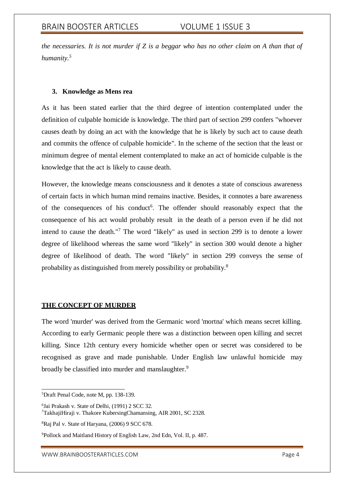*the necessaries. It is not murder if Z is a beggar who has no other claim on A than that of humanity.<sup>5</sup>*

## **3. Knowledge as Mens rea**

As it has been stated earlier that the third degree of intention contemplated under the definition of culpable homicide is knowledge. The third part of section 299 confers "whoever causes death by doing an act with the knowledge that he is likely by such act to cause death and commits the offence of culpable homicide". In the scheme of the section that the least or minimum degree of mental element contemplated to make an act of homicide culpable is the knowledge that the act is likely to cause death.

However, the knowledge means consciousness and it denotes a state of conscious awareness of certain facts in which human mind remains inactive. Besides, it connotes a bare awareness of the consequences of his conduct<sup>6</sup>. The offender should reasonably expect that the consequence of his act would probably result in the death of a person even if he did not intend to cause the death."<sup>7</sup> The word "likely" as used in section 299 is to denote a lower degree of likelihood whereas the same word "likely" in section 300 would denote a higher degree of likelihood of death. The word "likely" in section 299 conveys the sense of probability as distinguished from merely possibility or probability.<sup>8</sup>

## **THE CONCEPT OF MURDER**

The word 'murder' was derived from the Germanic word 'mortna' which means secret killing. According to early Germanic people there was a distinction between open killing and secret killing. Since 12th century every homicide whether open or secret was considered to be recognised as grave and made punishable. Under English law unlawful homicide may broadly be classified into murder and manslaughter.<sup>9</sup>

<sup>5</sup>Draft Penal Code, note M, pp. 138-139.

<sup>6</sup> Jai Prakash v. State of Delhi, (1991) 2 SCC 32. <sup>7</sup>TakhajiHiraji v. Thakore KubersingChamansing, AIR 2001, SC 2328.

<sup>8</sup>Raj Pal v. State of Haryana, (2006) 9 SCC 678.

<sup>9</sup>Pollock and Maitland History of English Law, 2nd Edn, Vol. II, p. 487.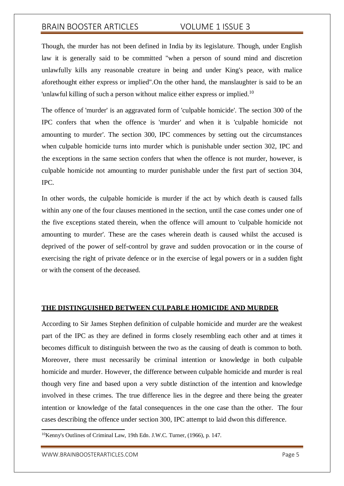Though, the murder has not been defined in India by its legislature. Though, under English law it is generally said to be committed "when a person of sound mind and discretion unlawfully kills any reasonable creature in being and under King's peace, with malice aforethought either express or implied".On the other hand, the manslaughter is said to be an 'unlawful killing of such a person without malice either express or implied.<sup>10</sup>

The offence of 'murder' is an aggravated form of 'culpable homicide'. The section 300 of the IPC confers that when the offence is 'murder' and when it is 'culpable homicide not amounting to murder'. The section 300, IPC commences by setting out the circumstances when culpable homicide turns into murder which is punishable under section 302, IPC and the exceptions in the same section confers that when the offence is not murder, however, is culpable homicide not amounting to murder punishable under the first part of section 304, IPC.

In other words, the culpable homicide is murder if the act by which death is caused falls within any one of the four clauses mentioned in the section, until the case comes under one of the five exceptions stated therein, when the offence will amount to 'culpable homicide not amounting to murder'. These are the cases wherein death is caused whilst the accused is deprived of the power of self-control by grave and sudden provocation or in the course of exercising the right of private defence or in the exercise of legal powers or in a sudden fight or with the consent of the deceased.

### **THE DISTINGUISHED BETWEEN CULPABLE HOMICIDE AND MURDER**

According to Sir James Stephen definition of culpable homicide and murder are the weakest part of the IPC as they are defined in forms closely resembling each other and at times it becomes difficult to distinguish between the two as the causing of death is common to both. Moreover, there must necessarily be criminal intention or knowledge in both culpable homicide and murder. However, the difference between culpable homicide and murder is real though very fine and based upon a very subtle distinction of the intention and knowledge involved in these crimes. The true difference lies in the degree and there being the greater intention or knowledge of the fatal consequences in the one case than the other. The four cases describing the offence under section 300, IPC attempt to laid dwon this difference.

<sup>&</sup>lt;sup>10</sup>Kenny's Outlines of Criminal Law, 19th Edn. J.W.C. Turner, (1966), p. 147.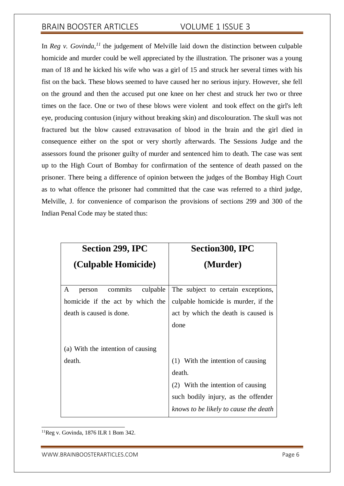In *Reg v. Govinda*,<sup> $11$ </sup> the judgement of Melville laid down the distinction between culpable homicide and murder could be well appreciated by the illustration. The prisoner was a young man of 18 and he kicked his wife who was a girl of 15 and struck her several times with his fist on the back. These blows seemed to have caused her no serious injury. However, she fell on the ground and then the accused put one knee on her chest and struck her two or three times on the face. One or two of these blows were violent and took effect on the girl's left eye, producing contusion (injury without breaking skin) and discolouration. The skull was not fractured but the blow caused extravasation of blood in the brain and the girl died in consequence either on the spot or very shortly afterwards. The Sessions Judge and the assessors found the prisoner guilty of murder and sentenced him to death. The case was sent up to the High Court of Bombay for confirmation of the sentence of death passed on the prisoner. There being a difference of opinion between the judges of the Bombay High Court as to what offence the prisoner had committed that the case was referred to a third judge, Melville, J. for convenience of comparison the provisions of sections 299 and 300 of the Indian Penal Code may be stated thus:

| <b>Section 299, IPC</b>                                                                            | <b>Section 300, IPC</b>                                                                                                                                          |
|----------------------------------------------------------------------------------------------------|------------------------------------------------------------------------------------------------------------------------------------------------------------------|
| (Culpable Homicide)                                                                                | (Murder)                                                                                                                                                         |
| culpable<br>commits<br>A<br>person<br>homicide if the act by which the<br>death is caused is done. | The subject to certain exceptions,<br>culpable homicide is murder, if the<br>act by which the death is caused is<br>done                                         |
| (a) With the intention of causing<br>death.                                                        | (1) With the intention of causing<br>death.<br>(2) With the intention of causing<br>such bodily injury, as the offender<br>knows to be likely to cause the death |

 $11$ Reg v. Govinda, 1876 ILR 1 Bom 342.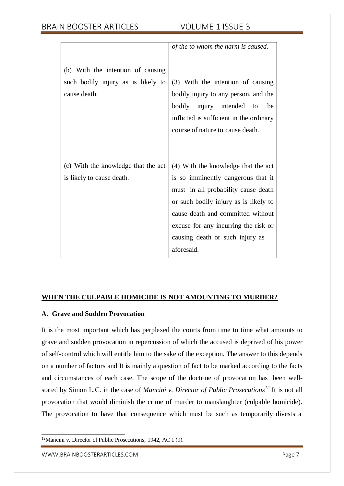|                                     | of the to whom the harm is caused.      |
|-------------------------------------|-----------------------------------------|
|                                     |                                         |
| (b) With the intention of causing   |                                         |
| such bodily injury as is likely to  | (3) With the intention of causing       |
| cause death.                        | bodily injury to any person, and the    |
|                                     | bodily<br>injury intended<br>to<br>be   |
|                                     | inflicted is sufficient in the ordinary |
|                                     | course of nature to cause death.        |
|                                     |                                         |
|                                     |                                         |
| (c) With the knowledge that the act | (4) With the knowledge that the act     |
| is likely to cause death.           | is so imminently dangerous that it      |
|                                     | must in all probability cause death     |
|                                     | or such bodily injury as is likely to   |
|                                     | cause death and committed without       |
|                                     | excuse for any incurring the risk or    |
|                                     | causing death or such injury as         |
|                                     | aforesaid.                              |
|                                     |                                         |

## **WHEN THE CULPABLE HOMICIDE IS NOT AMOUNTING TO MURDER?**

## **A. Grave and Sudden Provocation**

It is the most important which has perplexed the courts from time to time what amounts to grave and sudden provocation in repercussion of which the accused is deprived of his power of self-control which will entitle him to the sake of the exception. The answer to this depends on a number of factors and It is mainly a question of fact to be marked according to the facts and circumstances of each case. The scope of the doctrine of provocation has been wellstated by Simon L.C. in the case of *Mancini v. Director of Public Prosecutions <sup>12</sup>* It is not all provocation that would diminish the crime of murder to manslaughter (culpable homicide). The provocation to have that consequence which must be such as temporarily divests a

<sup>12</sup>Mancini v. Director of Public Prosecutions, 1942, AC 1 (9).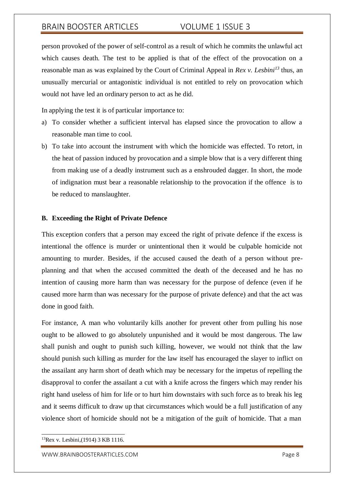person provoked of the power of self-control as a result of which he commits the unlawful act which causes death. The test to be applied is that of the effect of the provocation on a reasonable man as was explained by the Court of Criminal Appeal in *Rex v. Lesbini<sup>13</sup>* thus, an unusually mercurial or antagonistic individual is not entitled to rely on provocation which would not have led an ordinary person to act as he did.

In applying the test it is of particular importance to:

- a) To consider whether a sufficient interval has elapsed since the provocation to allow a reasonable man time to cool.
- b) To take into account the instrument with which the homicide was effected. To retort, in the heat of passion induced by provocation and a simple blow that is a very different thing from making use of a deadly instrument such as a enshrouded dagger. In short, the mode of indignation must bear a reasonable relationship to the provocation if the offence is to be reduced to manslaughter.

### **B. Exceeding the Right of Private Defence**

This exception confers that a person may exceed the right of private defence if the excess is intentional the offence is murder or unintentional then it would be culpable homicide not amounting to murder. Besides, if the accused caused the death of a person without preplanning and that when the accused committed the death of the deceased and he has no intention of causing more harm than was necessary for the purpose of defence (even if he caused more harm than was necessary for the purpose of private defence) and that the act was done in good faith.

For instance, A man who voluntarily kills another for prevent other from pulling his nose ought to be allowed to go absolutely unpunished and it would be most dangerous. The law shall punish and ought to punish such killing, however, we would not think that the law should punish such killing as murder for the law itself has encouraged the slayer to inflict on the assailant any harm short of death which may be necessary for the impetus of repelling the disapproval to confer the assailant a cut with a knife across the fingers which may render his right hand useless of him for life or to hurt him downstairs with such force as to break his leg and it seems difficult to draw up that circumstances which would be a full justification of any violence short of homicide should not be a mitigation of the guilt of homicide. That a man

<sup>13</sup>Rex v. Lesbini,(1914) 3 KB 1116.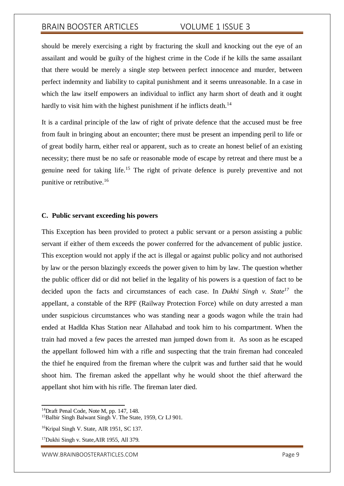should be merely exercising a right by fracturing the skull and knocking out the eye of an assailant and would be guilty of the highest crime in the Code if he kills the same assailant that there would be merely a single step between perfect innocence and murder, between perfect indemnity and liability to capital punishment and it seems unreasonable. In a case in which the law itself empowers an individual to inflict any harm short of death and it ought hardly to visit him with the highest punishment if he inflicts death.<sup>14</sup>

It is a cardinal principle of the law of right of private defence that the accused must be free from fault in bringing about an encounter; there must be present an impending peril to life or of great bodily harm, either real or apparent, such as to create an honest belief of an existing necessity; there must be no safe or reasonable mode of escape by retreat and there must be a genuine need for taking life.<sup>15</sup> The right of private defence is purely preventive and not punitive or retributive.<sup>16</sup>

### **C. Public servant exceeding his powers**

This Exception has been provided to protect a public servant or a person assisting a public servant if either of them exceeds the power conferred for the advancement of public justice. This exception would not apply if the act is illegal or against public policy and not authorised by law or the person blazingly exceeds the power given to him by law. The question whether the public officer did or did not belief in the legality of his powers is a question of fact to be decided upon the facts and circumstances of each case. In *Dukhi Singh v. State<sup>17</sup>* the appellant, a constable of the RPF (Railway Protection Force) while on duty arrested a man under suspicious circumstances who was standing near a goods wagon while the train had ended at Hadlda Khas Station near Allahabad and took him to his compartment. When the train had moved a few paces the arrested man jumped down from it. As soon as he escaped the appellant followed him with a rifle and suspecting that the train fireman had concealed the thief he enquired from the fireman where the culprit was and further said that he would shoot him. The fireman asked the appellant why he would shoot the thief afterward the appellant shot him with his rifle. The fireman later died.

[WWW.BRAINBOOSTERARTICLES.COM](http://www.brainboosterarticles.com/) **Page 9** 

<sup>&</sup>lt;sup>14</sup>Draft Penal Code, Note M, pp. 147, 148.

<sup>&</sup>lt;sup>15</sup>Balbir Singh Balwant Singh V. The State, 1959, Cr LJ 901.

<sup>&</sup>lt;sup>16</sup>Kripal Singh V. State, AIR 1951, SC 137.

<sup>17</sup>Dukhi Singh v. State*,*AIR 1955, All 379.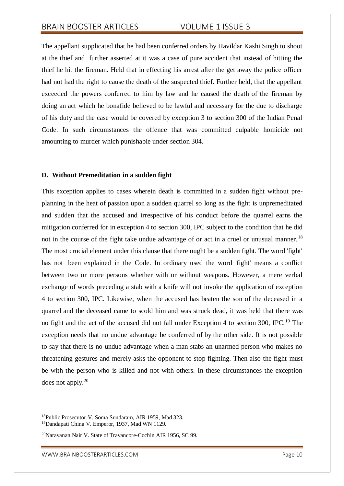The appellant supplicated that he had been conferred orders by Havildar Kashi Singh to shoot at the thief and further asserted at it was a case of pure accident that instead of hitting the thief he hit the fireman. Held that in effecting his arrest after the get away the police officer had not had the right to cause the death of the suspected thief. Further held, that the appellant exceeded the powers conferred to him by law and he caused the death of the fireman by doing an act which he bonafide believed to be lawful and necessary for the due to discharge of his duty and the case would be covered by exception 3 to section 300 of the Indian Penal Code. In such circumstances the offence that was committed culpable homicide not amounting to murder which punishable under section 304.

### **D. Without Premeditation in a sudden fight**

This exception applies to cases wherein death is committed in a sudden fight without preplanning in the heat of passion upon a sudden quarrel so long as the fight is unpremeditated and sudden that the accused and irrespective of his conduct before the quarrel earns the mitigation conferred for in exception 4 to section 300, IPC subject to the condition that he did not in the course of the fight take undue advantage of or act in a cruel or unusual manner.<sup>18</sup> The most crucial element under this clause that there ought be a sudden fight. The word 'fight' has not been explained in the Code. In ordinary used the word 'fight' means a conflict between two or more persons whether with or without weapons. However, a mere verbal exchange of words preceding a stab with a knife will not invoke the application of exception 4 to section 300, IPC. Likewise, when the accused has beaten the son of the deceased in a quarrel and the deceased came to scold him and was struck dead, it was held that there was no fight and the act of the accused did not fall under Exception 4 to section 300, IPC.<sup>19</sup> The exception needs that no undue advantage be conferred of by the other side. It is not possible to say that there is no undue advantage when a man stabs an unarmed person who makes no threatening gestures and merely asks the opponent to stop fighting. Then also the fight must be with the person who is killed and not with others. In these circumstances the exception does not apply.<sup>20</sup>

<sup>18</sup>Public Prosecutor V. Soma Sundaram, AIR 1959, Mad 323.

<sup>19</sup>Dandapati China V. Emperor, 1937, Mad WN 1129.

<sup>20</sup>Narayanan Nair V. State of Travancore-Cochin AIR 1956, SC 99.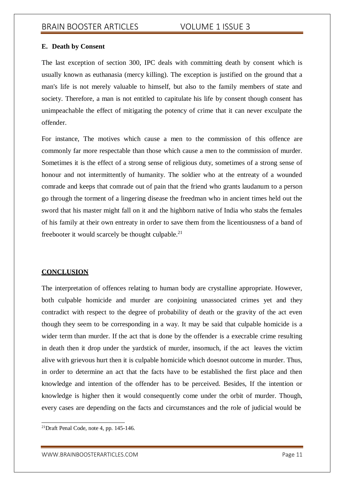### **E. Death by Consent**

The last exception of section 300, IPC deals with committing death by consent which is usually known as euthanasia (mercy killing). The exception is justified on the ground that a man's life is not merely valuable to himself, but also to the family members of state and society. Therefore, a man is not entitled to capitulate his life by consent though consent has unimpeachable the effect of mitigating the potency of crime that it can never exculpate the offender.

For instance, The motives which cause a men to the commission of this offence are commonly far more respectable than those which cause a men to the commission of murder. Sometimes it is the effect of a strong sense of religious duty, sometimes of a strong sense of honour and not intermittently of humanity. The soldier who at the entreaty of a wounded comrade and keeps that comrade out of pain that the friend who grants laudanum to a person go through the torment of a lingering disease the freedman who in ancient times held out the sword that his master might fall on it and the highborn native of India who stabs the females of his family at their own entreaty in order to save them from the licentiousness of a band of freebooter it would scarcely be thought culpable. $21$ 

## **CONCLUSION**

The interpretation of offences relating to human body are crystalline appropriate. However, both culpable homicide and murder are conjoining unassociated crimes yet and they contradict with respect to the degree of probability of death or the gravity of the act even though they seem to be corresponding in a way. It may be said that culpable homicide is a wider term than murder. If the act that is done by the offender is a execrable crime resulting in death then it drop under the yardstick of murder, insomuch, if the act leaves the victim alive with grievous hurt then it is culpable homicide which doesnot outcome in murder. Thus, in order to determine an act that the facts have to be established the first place and then knowledge and intention of the offender has to be perceived. Besides, If the intention or knowledge is higher then it would consequently come under the orbit of murder. Though, every cases are depending on the facts and circumstances and the role of judicial would be

 $21$ Draft Penal Code, note 4, pp. 145-146.